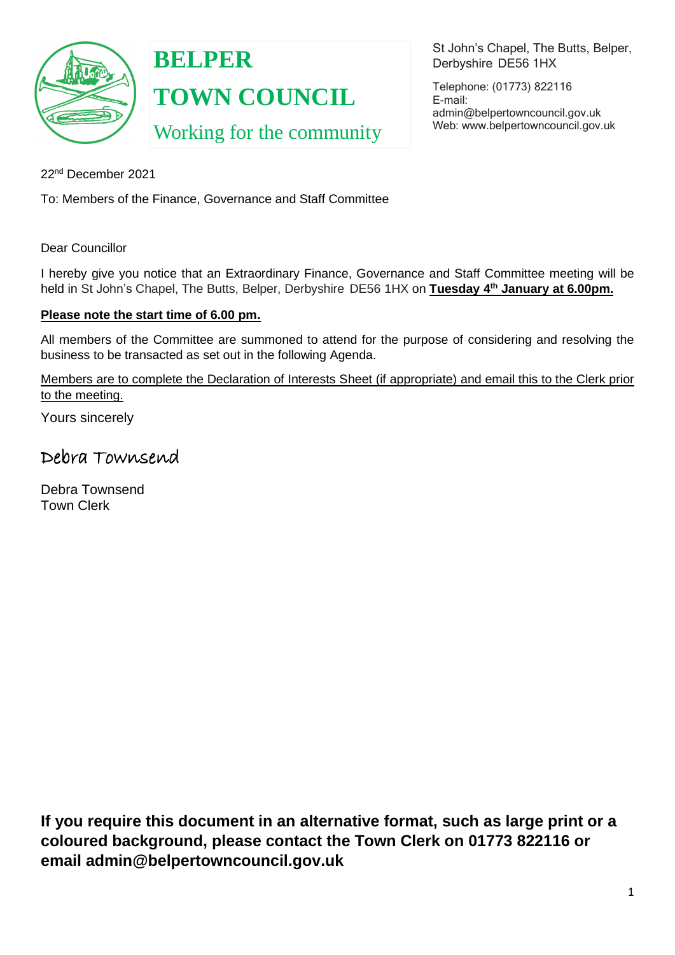

# **BELPER TOWN COUNCIL** Working for the community

St John's Chapel, The Butts, Belper, Derbyshire DE56 1HX

Telephone: (01773) 822116 E-mail: [admin@belpertowncouncil.gov.uk](mailto:admin@belpertowncouncil.gov.uk) Web: [www.belpertowncouncil.gov.uk](http://www.belpertowncouncil.gov.uk/)

22nd December 2021

To: Members of the Finance, Governance and Staff Committee

Dear Councillor

I hereby give you notice that an Extraordinary Finance, Governance and Staff Committee meeting will be held in St John's Chapel, The Butts, Belper, Derbyshire DE56 1HX on **Tuesday 4<sup>th</sup> January at 6.00pm.** 

### **Please note the start time of 6.00 pm.**

All members of the Committee are summoned to attend for the purpose of considering and resolving the business to be transacted as set out in the following Agenda.

Members are to complete the Declaration of Interests Sheet (if appropriate) and email this to the Clerk prior to the meeting.

Yours sincerely

## Debra Townsend

Debra Townsend Town Clerk

**If you require this document in an alternative format, such as large print or a coloured background, please contact the Town Clerk on 01773 822116 or email admin@belpertowncouncil.gov.uk**